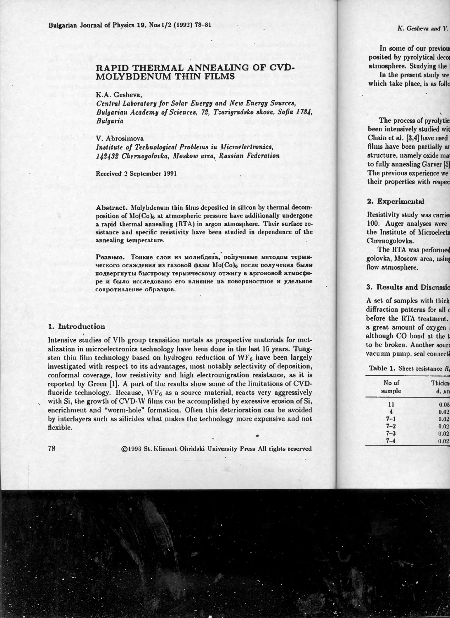# RAPID THERMAL ANNEALING OF CVD-MOLYBDENIJM THIN FILMS

K.A. Gesheva.

Central Laboratory for Solar Energy and New Energy Sources. Bulgarian Academy of Sciences, 72, Tzarigradsko shose, Sofia 1784. **Bulgaria** 

V. Abrosimova

Institute of Technological Problems in Microelectronics, 142432 Chernogolovka, Moskow area, Russian Federation

Received 2 September 1991

Abstract. Molybdenum thin films deposited in silicon by thermal decomposition of Mo(Co)<sub>6</sub> at atmospheric pressure have additionally undergone a rapid thermal annealing (RTA) in argon atmosphere. Their surface resistance and specific resistivity have been studied in dependence of the annealing temperature.

Резюме. Тонкие слои из молибдена, получниме методом термического осаждения из газовой фазы Mo(Co), после получения были подвергнуты быстрому термическому отжигу в аргоновой атмосфере и было исследовано его влияние на поверхностное и удельное сопротивление образцов.

## 1. Introduction

Intensive studies of VIb group transition metals as prospective materials for metalization in microelectronics technology have been done in the last 15 years. Tungsten thin film technology based on hydrogen reduction of  $WF_6$  have been largely investigated with respect to its advantages, most notably selectivity of deposition, conformal coverage, low resistivity and high electromigration resistance, as it is reported by Green [1]. A part of the results show some of the limitations of CVDfluoride technology. Because,  $WF_6$  as a source material, reacts very aggressively with Si, the growth of CVD-W films can be accomplished by excessive erosion of Si, encrichment and "worm-hole" formation. Often this deterioration can be avoided by interlayers such as silicides what makes the technology more expensive and not flexible.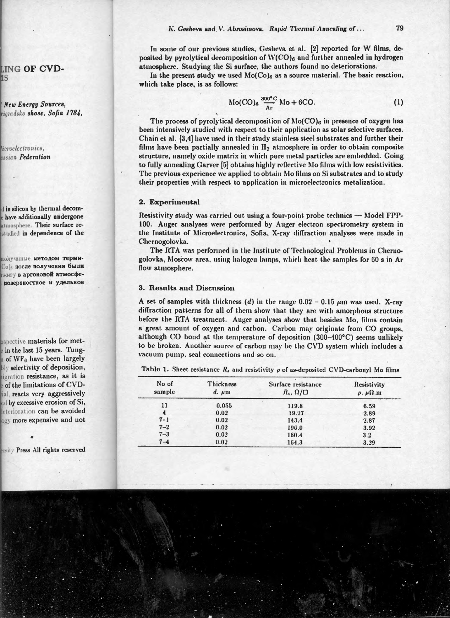#### K. Gesheva and V. Abrosimova. Rapid Thermal Annealing of...

In some of our previous studies, Gesheva et al. [2] reported for W films, deposited by pyrolytical decomposition of  $W(CO)$ <sub>6</sub> and further annealed in hydrogen atmosphere. Studying the Si surface, the authors found no deteriorations.

In the present study we used  $Mo(Co)_{6}$  as a source material. The basic reaction. which take place, is as follows:

$$
Mo(CO)_{6} \frac{300^{o}C}{Ar} Mo + 6CO.
$$
 (1)

The process of pyrolytical decomposition of  $Mo(CO)_{6}$  in presence of oxygen has been intensively studied with respect to their application as solar selective surfaces. Chain et al. [3,4] have used in their study stainless steel substrates and further their films have been partially annealed in  $H_2$  atmosphere in order to obtain composite structure, namely oxide matrix in which pure metal particles are embedded. Going to fully annealing Garver [5] obtains highly reflective Mo films with low resistivities. The previous experience we applied to obtain Mo films on Si substrates and to study their properties with respect to application in microelectronics metalization.

#### 2. Experimental

Resistivity study was carried out using a four-point probe technics — Model FPP-100. Auger analyses were performed by Auger electron spectrometry system in the Institute of Microelectronics, Sofia, X-ray diffraction analyses were made in Chernogolovka.

The RTA was performed in the Institute of Technological Problems in Chernogolovka, Moscow area, using halogen lamps, which heat the samples for 60 s in Ar flow atmosphere.

## 3. Results and Discussion

A set of samples with thickness (d) in the range  $0.02 - 0.15 \ \mu m$  was used. X-ray diffraction patterns for all of them show that they are with amorphous structure before the RTA treatment. Auger analyses show that besides Mo, films contain a great amount of oxygen and carbon. Carbon may originate from CO groups, although CO bond at the temperature of deposition (300-400°C) seems unlikely to be broken. Another source of carbon may be the CVD system which includes a vacuum pump, seal connections and so on.

| No of<br>sample         | <b>Thickness</b><br>$d, \mu m$ | Surface resistance<br>$R_s, \Omega/\Box$ | Resistivity<br>$\rho$ , $\mu\Omega$ .m<br>6.59 |  |
|-------------------------|--------------------------------|------------------------------------------|------------------------------------------------|--|
| 11                      | 0.055                          | 119.8                                    |                                                |  |
| $\overline{\mathbf{A}}$ | 0.02                           | 19.27                                    | 2.89                                           |  |
| $7 - 1$                 | 0.02                           | 143.4                                    | 2.87                                           |  |
| $7 - 2$                 | 0.02                           | 196.0                                    | 3.92                                           |  |
| $7 - 3$                 | 0.02                           | 160.4                                    | 3.2                                            |  |
| $7 - 4$                 | 0.02                           | 164.3                                    | 3.29                                           |  |

Table 1. Sheet resistance  $R_k$  and resistivity  $\rho$  of as-deposited CVD-carbonyl Mo films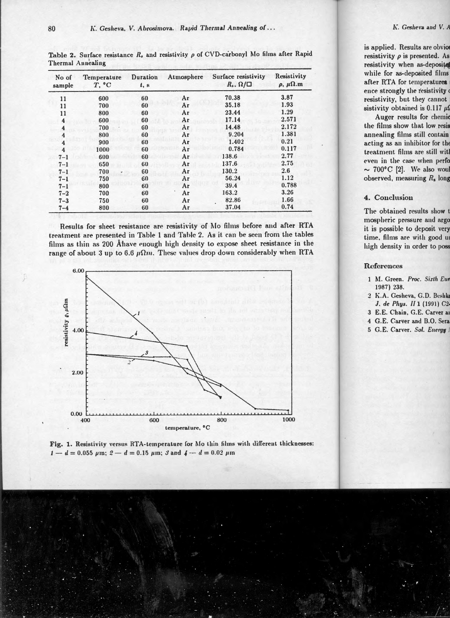| No of<br>sample         | <b>Temperature</b><br>$T$ , $^{\circ}$ C | Duration<br>t, s | Atmosphere | Surface resistivity<br>$R_{\ast}$ , $\Omega/\Box$ | Resistivity<br>$\rho$ , $\mu\Omega$ .m |
|-------------------------|------------------------------------------|------------------|------------|---------------------------------------------------|----------------------------------------|
| 11                      | 600                                      | 60               | Ar         | 70.38                                             | 3.87                                   |
| 11                      | 700                                      | 60               | Ar         | 35.18                                             | 1.93                                   |
| 11                      | 800                                      | 60               | Ar         | 23.44                                             | 1.29                                   |
| $\overline{\bf 4}$      | 600                                      | 60               | Ar         | 17.14                                             | 2.571                                  |
| $\overline{\mathbf{4}}$ | 700                                      | 60               | Ar         | 14.48                                             | 2.172                                  |
| 4                       | 800                                      | 60               | Ar         | 9.204                                             | 1.381                                  |
| $\overline{\bf{4}}$     | 900                                      | 60               | Ar         | 1.402                                             | 0.21                                   |
| $\overline{\mathbf{4}}$ | 1000                                     | 60               | Ar         | 0.784                                             | 0.117                                  |
| $7 - 1$                 | 600                                      | 60               | Ar         | 138.6                                             | 2.77                                   |
| $7 - 1$                 | 650                                      | 60               | Ar         | 137.6                                             | 2.75                                   |
| $7 - 1$                 | 700                                      | 60               | Ar         | 130.2                                             | 2.6                                    |
| $7 - 1$                 | 750                                      | 60               | Ar         | 56.24                                             | 1.12                                   |
| $7 - 1$                 | 800                                      | 60               | Ar         | 39.4                                              | 0.788                                  |
| $7 - 2$                 | 700                                      | 60               | Ar         | 163.2                                             | 3.26                                   |
| $7 - 3$                 | 750                                      | 60               | Ar         | 82.86                                             | 1.66                                   |
| $7 - 4$                 | 800                                      | 60               | Ar         | 37.04                                             | 0.74                                   |

Table 2. Surface resistance  $R<sub>s</sub>$  and resistivity  $\rho$  of CVD-carbonyl Mo films after Rapid Thermal Annealing

Results for sheet resistance are resistivity of Mo films before and after RTA treatment are presented in Table 1 and Table 2. As it can be seen from the tables films as thin as 200 Åhave enough high density to expose sheet resistance in the range of about 3 up to 6.6  $\mu\Omega m$ . These values drop down considerably when RTA



Fig. 1. Resistivity versus RTA-temperature for Mo thin films with different thicknesses:  $1 - d = 0.055 \mu m$ ;  $2 - d = 0.15 \mu m$ ; 3 and  $4 - d = 0.02 \mu m$